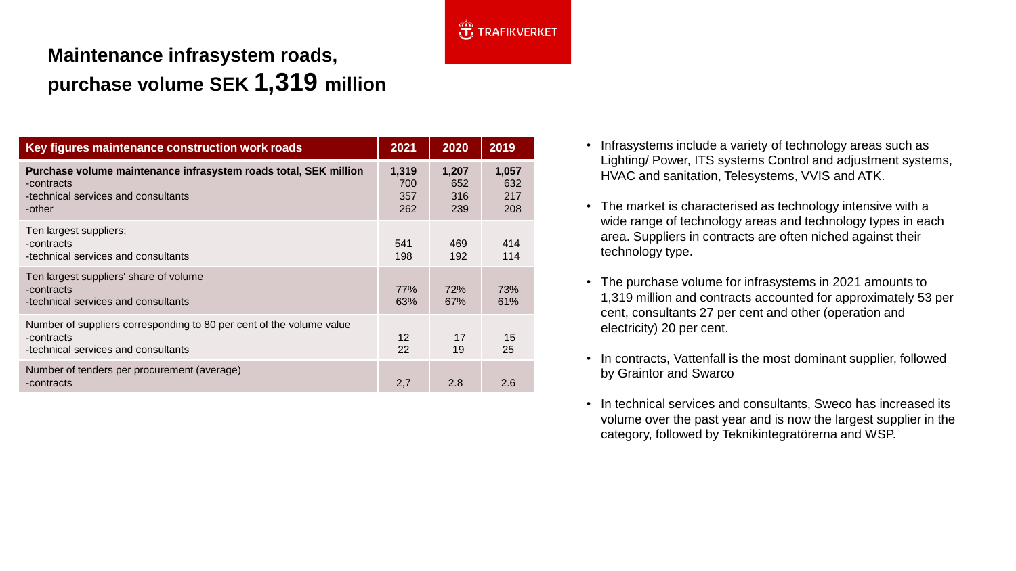

## **Maintenance infrasystem roads, purchase volume SEK 1,319 million**

| Key figures maintenance construction work roads                                                                                 | 2021                       | 2020                       | 2019                       |
|---------------------------------------------------------------------------------------------------------------------------------|----------------------------|----------------------------|----------------------------|
| Purchase volume maintenance infrasystem roads total, SEK million<br>-contracts<br>-technical services and consultants<br>-other | 1,319<br>700<br>357<br>262 | 1,207<br>652<br>316<br>239 | 1,057<br>632<br>217<br>208 |
| Ten largest suppliers;<br>-contracts<br>-technical services and consultants                                                     | 541<br>198                 | 469<br>192                 | 414<br>114                 |
| Ten largest suppliers' share of volume<br>-contracts<br>-technical services and consultants                                     | 77%<br>63%                 | 72%<br>67%                 | 73%<br>61%                 |
| Number of suppliers corresponding to 80 per cent of the volume value<br>-contracts<br>-technical services and consultants       | 12<br>22                   | 17<br>19                   | 15<br>25                   |
| Number of tenders per procurement (average)<br>-contracts                                                                       | 2,7                        | 2.8                        | 2.6                        |

- Infrasystems include a variety of technology areas such as Lighting/ Power, ITS systems Control and adjustment systems, HVAC and sanitation, Telesystems, VVIS and ATK.
- The market is characterised as technology intensive with a wide range of technology areas and technology types in each area. Suppliers in contracts are often niched against their technology type.
- The purchase volume for infrasystems in 2021 amounts to 1,319 million and contracts accounted for approximately 53 per cent, consultants 27 per cent and other (operation and electricity) 20 per cent.
- In contracts, Vattenfall is the most dominant supplier, followed by Graintor and Swarco
- In technical services and consultants, Sweco has increased its volume over the past year and is now the largest supplier in the category, followed by Teknikintegratörerna and WSP.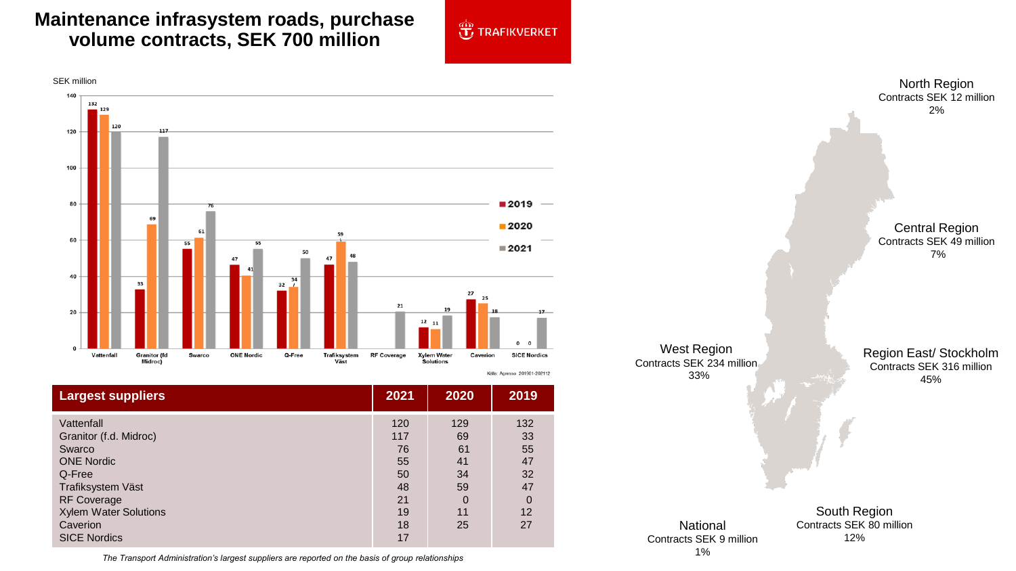## **Maintenance infrasystem roads, purchase volume contracts, SEK 700 million**





| <b>Largest suppliers</b>                                                                                                                                                                    | 2021                                                       | 2020                                                            | 2019                                                            |
|---------------------------------------------------------------------------------------------------------------------------------------------------------------------------------------------|------------------------------------------------------------|-----------------------------------------------------------------|-----------------------------------------------------------------|
| Vattenfall<br>Granitor (f.d. Midroc)<br>Swarco<br><b>ONE Nordic</b><br>Q-Free<br>Trafiksystem Väst<br><b>RF Coverage</b><br><b>Xylem Water Solutions</b><br>Caverion<br><b>SICE Nordics</b> | 120<br>117<br>76<br>55<br>50<br>48<br>21<br>19<br>18<br>17 | 129<br>69<br>61<br>41<br>34<br>59<br>$\overline{0}$<br>11<br>25 | 132<br>33<br>55<br>47<br>32<br>47<br>$\overline{0}$<br>12<br>27 |

33% South Region Contracts SEK 80 million 12% Region East/ Stockholm Contracts SEK 316 million 45% National Contracts SEK 9 million

North Region Contracts SEK 12 million 2%

Central Region Contracts SEK 49 million 7%

1% *The Transport Administration's largest suppliers are reported on the basis of group relationships*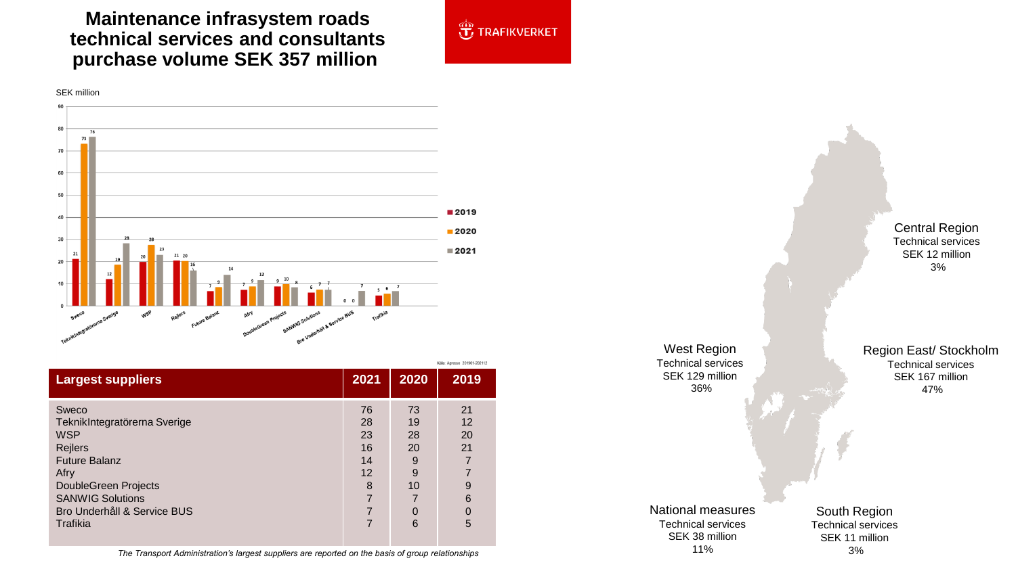## **Maintenance infrasystem roads technical services and consultants purchase volume SEK 357 million**



**JE TRAFIKVERKET** 

|                                                                                                                                                          | Källa: Agresso 201901-202112          |                                      |                                                                    |
|----------------------------------------------------------------------------------------------------------------------------------------------------------|---------------------------------------|--------------------------------------|--------------------------------------------------------------------|
| <b>Largest suppliers</b>                                                                                                                                 | 2021                                  | 2020                                 | 2019                                                               |
| Sweco<br>TeknikIntegratörerna Sverige<br><b>WSP</b><br>Rejlers<br><b>Future Balanz</b><br>Afry<br><b>DoubleGreen Projects</b><br><b>SANWIG Solutions</b> | 76<br>28<br>23<br>16<br>14<br>12<br>8 | 73<br>19<br>28<br>20<br>9<br>9<br>10 | 21<br>12<br>20<br>21<br>$\overline{7}$<br>$\overline{ }$<br>9<br>6 |
| Bro Underhåll & Service BUS<br>Trafikia                                                                                                                  | 7                                     | 0<br>6                               | $\overline{0}$<br>5                                                |